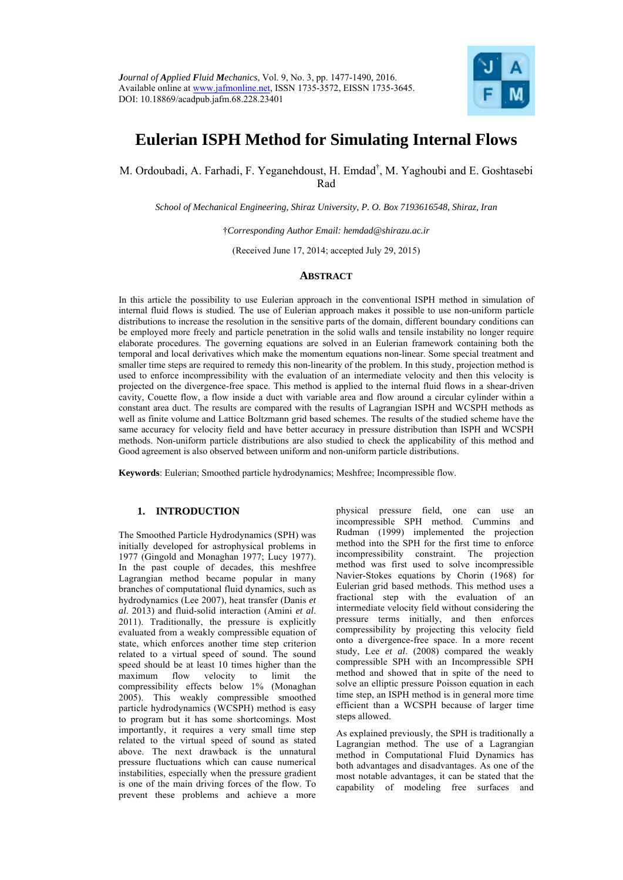

# **Eulerian ISPH Method for Simulating Internal Flows**

M. Ordoubadi, A. Farhadi, F. Yeganehdoust, H. Emdad<sup>†</sup>, M. Yaghoubi and E. Goshtasebi Rad

*School of Mechanical Engineering, Shiraz University, P. O. Box 7193616548, Shiraz, Iran* 

†*Corresponding Author Email: hemdad@shirazu.ac.ir* 

(Received June 17, 2014; accepted July 29, 2015)

# **ABSTRACT**

In this article the possibility to use Eulerian approach in the conventional ISPH method in simulation of internal fluid flows is studied. The use of Eulerian approach makes it possible to use non-uniform particle distributions to increase the resolution in the sensitive parts of the domain, different boundary conditions can be employed more freely and particle penetration in the solid walls and tensile instability no longer require elaborate procedures. The governing equations are solved in an Eulerian framework containing both the temporal and local derivatives which make the momentum equations non-linear. Some special treatment and smaller time steps are required to remedy this non-linearity of the problem. In this study, projection method is used to enforce incompressibility with the evaluation of an intermediate velocity and then this velocity is projected on the divergence-free space. This method is applied to the internal fluid flows in a shear-driven cavity, Couette flow, a flow inside a duct with variable area and flow around a circular cylinder within a constant area duct. The results are compared with the results of Lagrangian ISPH and WCSPH methods as well as finite volume and Lattice Boltzmann grid based schemes. The results of the studied scheme have the same accuracy for velocity field and have better accuracy in pressure distribution than ISPH and WCSPH methods. Non-uniform particle distributions are also studied to check the applicability of this method and Good agreement is also observed between uniform and non-uniform particle distributions.

**Keywords**: Eulerian; Smoothed particle hydrodynamics; Meshfree; Incompressible flow.

# **1. INTRODUCTION**

The Smoothed Particle Hydrodynamics (SPH) was initially developed for astrophysical problems in 1977 (Gingold and Monaghan 1977; Lucy 1977). In the past couple of decades, this meshfree Lagrangian method became popular in many branches of computational fluid dynamics, such as hydrodynamics (Lee 2007), heat transfer (Danis *et al*. 2013) and fluid-solid interaction (Amini *et al*. 2011). Traditionally, the pressure is explicitly evaluated from a weakly compressible equation of state, which enforces another time step criterion related to a virtual speed of sound. The sound speed should be at least 10 times higher than the maximum flow velocity to limit the compressibility effects below 1% (Monaghan 2005). This weakly compressible smoothed particle hydrodynamics (WCSPH) method is easy to program but it has some shortcomings. Most importantly, it requires a very small time step related to the virtual speed of sound as stated above. The next drawback is the unnatural pressure fluctuations which can cause numerical instabilities, especially when the pressure gradient is one of the main driving forces of the flow. To prevent these problems and achieve a more

physical pressure field, one can use an incompressible SPH method. Cummins and Rudman (1999) implemented the projection method into the SPH for the first time to enforce incompressibility constraint. The projection method was first used to solve incompressible Navier-Stokes equations by Chorin (1968) for Eulerian grid based methods. This method uses a fractional step with the evaluation of an intermediate velocity field without considering the pressure terms initially, and then enforces compressibility by projecting this velocity field onto a divergence-free space. In a more recent study, Lee *et al*. (2008) compared the weakly compressible SPH with an Incompressible SPH method and showed that in spite of the need to solve an elliptic pressure Poisson equation in each time step, an ISPH method is in general more time efficient than a WCSPH because of larger time steps allowed.

As explained previously, the SPH is traditionally a Lagrangian method. The use of a Lagrangian method in Computational Fluid Dynamics has both advantages and disadvantages. As one of the most notable advantages, it can be stated that the capability of modeling free surfaces and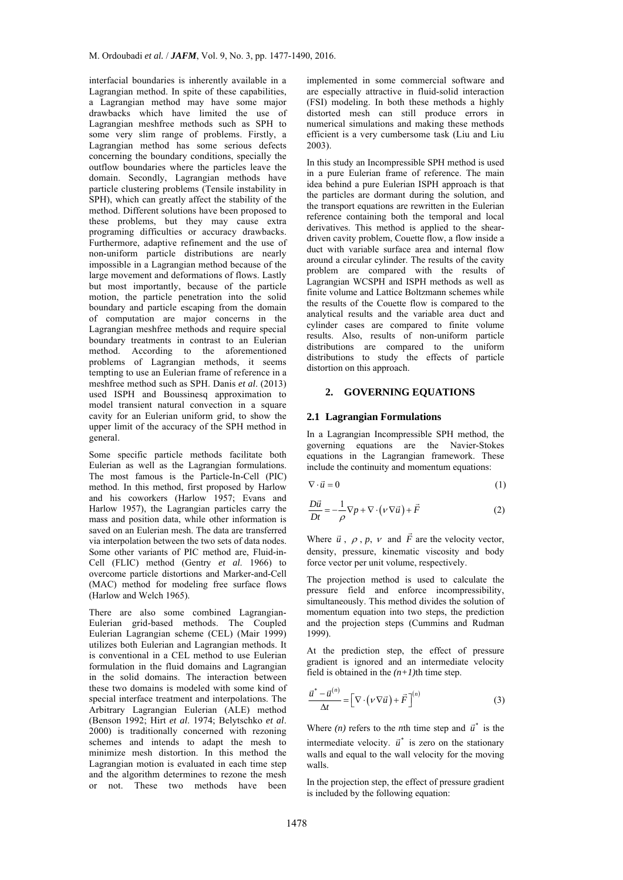interfacial boundaries is inherently available in a Lagrangian method. In spite of these capabilities, a Lagrangian method may have some major drawbacks which have limited the use of Lagrangian meshfree methods such as SPH to some very slim range of problems. Firstly, a Lagrangian method has some serious defects concerning the boundary conditions, specially the outflow boundaries where the particles leave the domain. Secondly, Lagrangian methods have particle clustering problems (Tensile instability in SPH), which can greatly affect the stability of the method. Different solutions have been proposed to these problems, but they may cause extra programing difficulties or accuracy drawbacks. Furthermore, adaptive refinement and the use of non-uniform particle distributions are nearly impossible in a Lagrangian method because of the large movement and deformations of flows. Lastly but most importantly, because of the particle motion, the particle penetration into the solid boundary and particle escaping from the domain of computation are major concerns in the Lagrangian meshfree methods and require special boundary treatments in contrast to an Eulerian method. According to the aforementioned problems of Lagrangian methods, it seems tempting to use an Eulerian frame of reference in a meshfree method such as SPH. Danis *et al*. (2013) used ISPH and Boussinesq approximation to model transient natural convection in a square cavity for an Eulerian uniform grid, to show the upper limit of the accuracy of the SPH method in general.

Some specific particle methods facilitate both Eulerian as well as the Lagrangian formulations. The most famous is the Particle-In-Cell (PIC) method. In this method, first proposed by Harlow and his coworkers (Harlow 1957; Evans and Harlow 1957), the Lagrangian particles carry the mass and position data, while other information is saved on an Eulerian mesh. The data are transferred via interpolation between the two sets of data nodes. Some other variants of PIC method are, Fluid-in-Cell (FLIC) method (Gentry *et al*. 1966) to overcome particle distortions and Marker-and-Cell (MAC) method for modeling free surface flows (Harlow and Welch 1965).

There are also some combined Lagrangian-Eulerian grid-based methods. The Coupled Eulerian Lagrangian scheme (CEL) (Mair 1999) utilizes both Eulerian and Lagrangian methods. It is conventional in a CEL method to use Eulerian formulation in the fluid domains and Lagrangian in the solid domains. The interaction between these two domains is modeled with some kind of special interface treatment and interpolations. The Arbitrary Lagrangian Eulerian (ALE) method (Benson 1992; Hirt *et al*. 1974; Belytschko *et al*. 2000) is traditionally concerned with rezoning schemes and intends to adapt the mesh to minimize mesh distortion. In this method the Lagrangian motion is evaluated in each time step and the algorithm determines to rezone the mesh or not. These two methods have been

implemented in some commercial software and are especially attractive in fluid-solid interaction (FSI) modeling. In both these methods a highly distorted mesh can still produce errors in numerical simulations and making these methods efficient is a very cumbersome task (Liu and Liu 2003).

In this study an Incompressible SPH method is used in a pure Eulerian frame of reference. The main idea behind a pure Eulerian ISPH approach is that the particles are dormant during the solution, and the transport equations are rewritten in the Eulerian reference containing both the temporal and local derivatives. This method is applied to the sheardriven cavity problem, Couette flow, a flow inside a duct with variable surface area and internal flow around a circular cylinder. The results of the cavity problem are compared with the results of Lagrangian WCSPH and ISPH methods as well as finite volume and Lattice Boltzmann schemes while the results of the Couette flow is compared to the analytical results and the variable area duct and cylinder cases are compared to finite volume results. Also, results of non-uniform particle distributions are compared to the uniform distributions to study the effects of particle distortion on this approach.

#### **2. GOVERNING EQUATIONS**

### **2.1 Lagrangian Formulations**

In a Lagrangian Incompressible SPH method, the governing equations are the Navier-Stokes equations in the Lagrangian framework. These include the continuity and momentum equations:

$$
\nabla \cdot \vec{u} = 0 \tag{1}
$$

$$
\frac{D\vec{u}}{Dt} = -\frac{1}{\rho}\nabla p + \nabla \cdot (\nu \nabla \vec{u}) + \vec{F}
$$
 (2)

Where  $\vec{u}$ ,  $\rho$ ,  $p$ ,  $\nu$  and  $\vec{F}$  are the velocity vector, density, pressure, kinematic viscosity and body force vector per unit volume, respectively.

The projection method is used to calculate the pressure field and enforce incompressibility, simultaneously. This method divides the solution of momentum equation into two steps, the prediction and the projection steps (Cummins and Rudman 1999).

At the prediction step, the effect of pressure gradient is ignored and an intermediate velocity field is obtained in the *(n+1)*th time step.

$$
\frac{\vec{u}^* - \vec{u}^{(n)}}{\Delta t} = \left[ \nabla \cdot (\nu \nabla \vec{u}) + \vec{F} \right]^{(n)}
$$
(3)

Where  $(n)$  refers to the *n*th time step and  $\vec{u}^*$  is the intermediate velocity.  $\vec{u}^*$  is zero on the stationary walls and equal to the wall velocity for the moving walls.

In the projection step, the effect of pressure gradient is included by the following equation: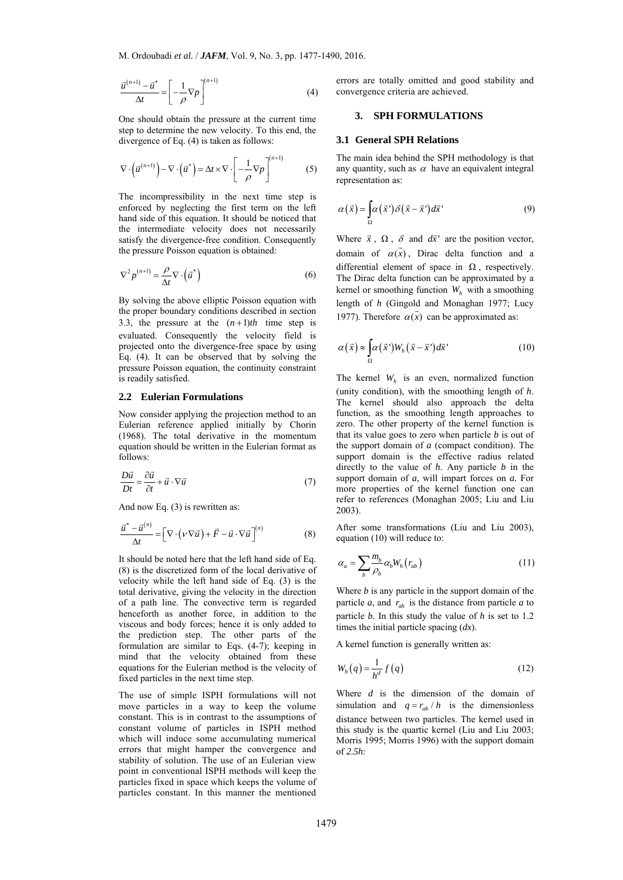$$
\frac{\vec{u}^{(n+1)} - \vec{u}^*}{\Delta t} = \left[ -\frac{1}{\rho} \nabla p \right]^{(n+1)}
$$
(4)

One should obtain the pressure at the current time step to determine the new velocity. To this end, the divergence of Eq. (4) is taken as follows:

$$
\nabla \cdot \left(\vec{u}^{(n+1)}\right) - \nabla \cdot \left(\vec{u}^*\right) = \Delta t \times \nabla \cdot \left[-\frac{1}{\rho} \nabla p\right]^{(n+1)}\tag{5}
$$

The incompressibility in the next time step is enforced by neglecting the first term on the left hand side of this equation. It should be noticed that the intermediate velocity does not necessarily satisfy the divergence-free condition. Consequently the pressure Poisson equation is obtained:

$$
\nabla^2 p^{(n+1)} = \frac{\rho}{\Delta t} \nabla \cdot (\vec{u}^*)
$$
 (6)

By solving the above elliptic Poisson equation with the proper boundary conditions described in section 3.3, the pressure at the  $(n+1)$ th time step is evaluated. Consequently the velocity field is projected onto the divergence-free space by using Eq. (4). It can be observed that by solving the pressure Poisson equation, the continuity constraint is readily satisfied.

# **2.2 Eulerian Formulations**

Now consider applying the projection method to an Eulerian reference applied initially by Chorin (1968). The total derivative in the momentum equation should be written in the Eulerian format as follows:

$$
\frac{D\vec{u}}{Dt} = \frac{\partial \vec{u}}{\partial t} + \vec{u} \cdot \nabla \vec{u}
$$
 (7)

And now Eq. (3) is rewritten as:

$$
\frac{\vec{u}^* - \vec{u}^{(n)}}{\Delta t} = \left[ \nabla \cdot (\nu \nabla \vec{u}) + \vec{F} - \vec{u} \cdot \nabla \vec{u} \right]^{(n)}
$$
(8)

It should be noted here that the left hand side of Eq. (8) is the discretized form of the local derivative of velocity while the left hand side of Eq. (3) is the total derivative, giving the velocity in the direction of a path line. The convective term is regarded henceforth as another force, in addition to the viscous and body forces; hence it is only added to the prediction step. The other parts of the formulation are similar to Eqs. (4-7); keeping in mind that the velocity obtained from these equations for the Eulerian method is the velocity of fixed particles in the next time step.

The use of simple ISPH formulations will not move particles in a way to keep the volume constant. This is in contrast to the assumptions of constant volume of particles in ISPH method which will induce some accumulating numerical errors that might hamper the convergence and stability of solution. The use of an Eulerian view point in conventional ISPH methods will keep the particles fixed in space which keeps the volume of particles constant. In this manner the mentioned

errors are totally omitted and good stability and convergence criteria are achieved.

# **3. SPH FORMULATIONS**

#### **3.1 General SPH Relations**

The main idea behind the SPH methodology is that any quantity, such as  $\alpha$  have an equivalent integral representation as:

$$
\alpha(\vec{x}) = \int_{\Omega} \alpha(\vec{x}') \delta(\vec{x} - \vec{x}') d\vec{x}' \tag{9}
$$

Where  $\vec{x}$ ,  $\Omega$ ,  $\delta$  and  $d\vec{x}$  are the position vector, domain of  $\alpha(\vec{x})$ , Dirac delta function and a differential element of space in  $\Omega$ , respectively. The Dirac delta function can be approximated by a kernel or smoothing function  $W<sub>h</sub>$  with a smoothing length of *h* (Gingold and Monaghan 1977; Lucy 1977). Therefore  $\alpha(\vec{x})$  can be approximated as:

$$
\alpha(\vec{x}) \approx \int_{\Omega} \alpha(\vec{x}') W_h(\vec{x} - \vec{x}') d\vec{x}' \tag{10}
$$

The kernel  $W<sub>h</sub>$  is an even, normalized function (unity condition), with the smoothing length of *h*. The kernel should also approach the delta function, as the smoothing length approaches to zero. The other property of the kernel function is that its value goes to zero when particle *b* is out of the support domain of *a* (compact condition). The support domain is the effective radius related directly to the value of *h*. Any particle *b* in the support domain of *a*, will impart forces on *a.* For more properties of the kernel function one can refer to references (Monaghan 2005; Liu and Liu 2003).

After some transformations (Liu and Liu 2003), equation (10) will reduce to:

$$
\alpha_a = \sum_b \frac{m_b}{\rho_b} \alpha_b W_h(r_{ab}) \tag{11}
$$

Where *b* is any particle in the support domain of the particle *a*, and  $r_{ab}$  is the distance from particle *a* to particle *b*. In this study the value of *h* is set to 1.2 times the initial particle spacing (*dx*).

A kernel function is generally written as:

$$
W_h(q) = \frac{1}{h^d} f(q) \tag{12}
$$

Where *d* is the dimension of the domain of simulation and  $q = r_{ab}/h$  is the dimensionless distance between two particles. The kernel used in this study is the quartic kernel (Liu and Liu 2003; Morris 1995; Morris 1996) with the support domain of *2.5h*: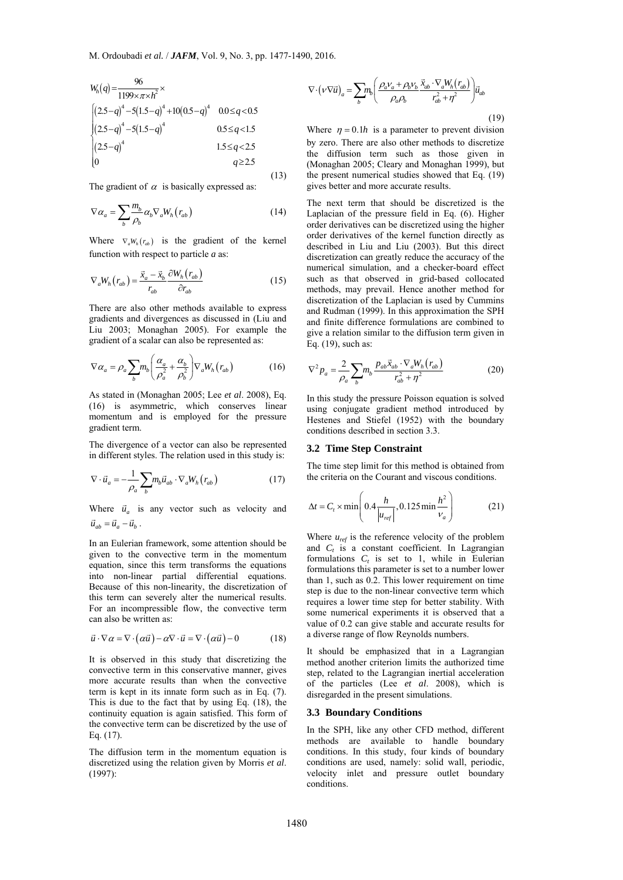$$
W_h(q) = \frac{96}{1199 \times \pi \times h^2} \times
$$
\n
$$
\begin{cases}\n(2.5-q)^4 - 5(1.5-q)^4 + 10(0.5-q)^4 & 0.0 \le q < 0.5 \\
(2.5-q)^4 - 5(1.5-q)^4 & 0.5 \le q < 1.5 \\
(2.5-q)^4 & 1.5 \le q < 2.5 \\
0 & q \ge 2.5\n\end{cases}
$$
\n(13)

The gradient of  $\alpha$  is basically expressed as:

$$
\nabla \alpha_a = \sum_b \frac{m_b}{\rho_b} \alpha_b \nabla_a W_h(r_{ab})
$$
\n(14)

Where  $\nabla_a W_h(r_{ab})$  is the gradient of the kernel function with respect to particle *a* as:

$$
\nabla_a W_h(r_{ab}) = \frac{\vec{x}_a - \vec{x}_b}{r_{ab}} \frac{\partial W_h(r_{ab})}{\partial r_{ab}}
$$
(15)

There are also other methods available to express gradients and divergences as discussed in (Liu and Liu 2003; Monaghan 2005). For example the gradient of a scalar can also be represented as:

$$
\nabla \alpha_a = \rho_a \sum_b m_b \left( \frac{\alpha_a}{\rho_a^2} + \frac{\alpha_b}{\rho_b^2} \right) \nabla_a W_h(r_{ab}) \tag{16}
$$

As stated in (Monaghan 2005; Lee *et al*. 2008), Eq. (16) is asymmetric, which conserves linear momentum and is employed for the pressure gradient term.

The divergence of a vector can also be represented in different styles. The relation used in this study is:

$$
\nabla \cdot \vec{u}_a = -\frac{1}{\rho_a} \sum_b m_b \vec{u}_{ab} \cdot \nabla_a W_h(r_{ab})
$$
 (17)

Where  $\vec{u}_a$  is any vector such as velocity and  $\vec{u}_{ab} = \vec{u}_a - \vec{u}_b$ .

In an Eulerian framework, some attention should be given to the convective term in the momentum equation, since this term transforms the equations into non-linear partial differential equations. Because of this non-linearity, the discretization of this term can severely alter the numerical results. For an incompressible flow, the convective term can also be written as:

$$
\vec{u} \cdot \nabla \alpha = \nabla \cdot (\alpha \vec{u}) - \alpha \nabla \cdot \vec{u} = \nabla \cdot (\alpha \vec{u}) - 0 \tag{18}
$$

It is observed in this study that discretizing the convective term in this conservative manner, gives more accurate results than when the convective term is kept in its innate form such as in Eq. (7). This is due to the fact that by using Eq. (18), the continuity equation is again satisfied. This form of the convective term can be discretized by the use of Eq. (17).

The diffusion term in the momentum equation is discretized using the relation given by Morris *et al*. (1997):

$$
\nabla \cdot (\nu \nabla \vec{u})_a = \sum_b m_b \left( \frac{\rho_a v_a + \rho_b v_b}{\rho_a \rho_b} \frac{\vec{x}_{ab} \cdot \nabla_a W_h(r_{ab})}{r_{ab}^2 + \eta^2} \right) \vec{u}_{ab}
$$
\n(19)

Where  $\eta = 0.1h$  is a parameter to prevent division by zero. There are also other methods to discretize the diffusion term such as those given in (Monaghan 2005; Cleary and Monaghan 1999), but the present numerical studies showed that Eq. (19) gives better and more accurate results.

The next term that should be discretized is the Laplacian of the pressure field in Eq. (6). Higher order derivatives can be discretized using the higher order derivatives of the kernel function directly as described in Liu and Liu (2003). But this direct discretization can greatly reduce the accuracy of the numerical simulation, and a checker-board effect such as that observed in grid-based collocated methods, may prevail. Hence another method for discretization of the Laplacian is used by Cummins and Rudman (1999). In this approximation the SPH and finite difference formulations are combined to give a relation similar to the diffusion term given in Eq. (19), such as:

$$
\nabla^2 p_a = \frac{2}{\rho_a} \sum_b m_b \frac{p_{ab} \vec{x}_{ab} \cdot \nabla_a W_h(r_{ab})}{r_{ab}^2 + \eta^2}
$$
 (20)

In this study the pressure Poisson equation is solved using conjugate gradient method introduced by Hestenes and Stiefel (1952) with the boundary conditions described in section 3.3.

#### **3.2 Time Step Constraint**

The time step limit for this method is obtained from the criteria on the Courant and viscous conditions.

$$
\Delta t = C_t \times \min\left(0.4 \frac{h}{|u_{ref}|}, 0.125 \min \frac{h^2}{v_a}\right) \tag{21}
$$

Where  $u_{ref}$  is the reference velocity of the problem and  $C_t$  is a constant coefficient. In Lagrangian formulations  $C_t$  is set to 1, while in Eulerian formulations this parameter is set to a number lower than 1, such as 0.2. This lower requirement on time step is due to the non-linear convective term which requires a lower time step for better stability. With some numerical experiments it is observed that a value of 0.2 can give stable and accurate results for a diverse range of flow Reynolds numbers.

It should be emphasized that in a Lagrangian method another criterion limits the authorized time step, related to the Lagrangian inertial acceleration of the particles (Lee *et al*. 2008), which is disregarded in the present simulations.

## **3.3 Boundary Conditions**

In the SPH, like any other CFD method, different methods are available to handle boundary conditions. In this study, four kinds of boundary conditions are used, namely: solid wall, periodic, velocity inlet and pressure outlet boundary conditions.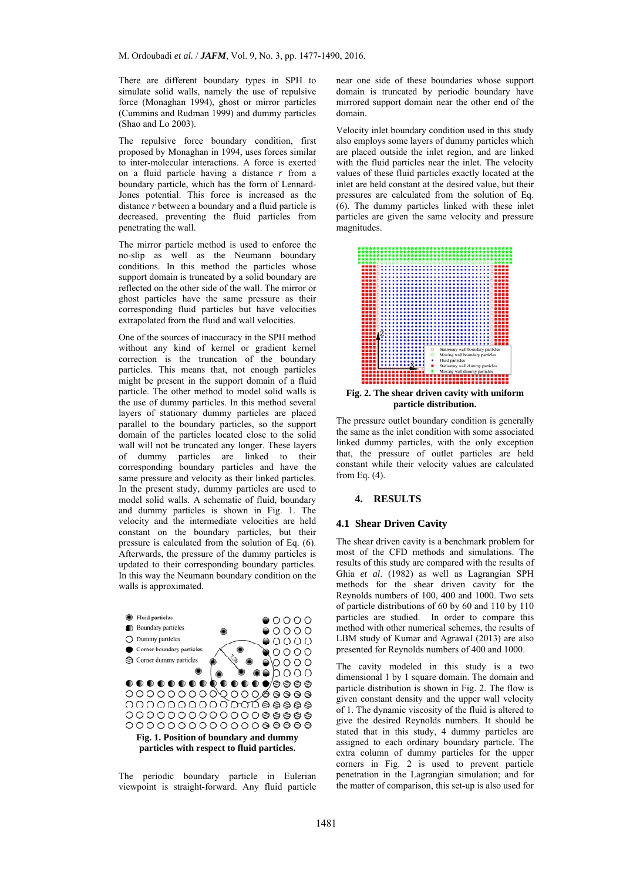There are different boundary types in SPH to simulate solid walls, namely the use of repulsive force (Monaghan 1994), ghost or mirror particles (Cummins and Rudman 1999) and dummy particles (Shao and Lo 2003).

The repulsive force boundary condition, first proposed by Monaghan in 1994, uses forces similar to inter-molecular interactions. A force is exerted on a fluid particle having a distance *r* from a boundary particle, which has the form of Lennard-Jones potential. This force is increased as the distance *r* between a boundary and a fluid particle is decreased, preventing the fluid particles from penetrating the wall.

The mirror particle method is used to enforce the no-slip as well as the Neumann boundary conditions. In this method the particles whose support domain is truncated by a solid boundary are reflected on the other side of the wall. The mirror or ghost particles have the same pressure as their corresponding fluid particles but have velocities extrapolated from the fluid and wall velocities.

One of the sources of inaccuracy in the SPH method without any kind of kernel or gradient kernel correction is the truncation of the boundary particles. This means that, not enough particles might be present in the support domain of a fluid particle. The other method to model solid walls is the use of dummy particles. In this method several layers of stationary dummy particles are placed parallel to the boundary particles, so the support domain of the particles located close to the solid wall will not be truncated any longer. These layers of dummy particles are linked to their corresponding boundary particles and have the same pressure and velocity as their linked particles. In the present study, dummy particles are used to model solid walls. A schematic of fluid, boundary and dummy particles is shown in Fig. 1. The velocity and the intermediate velocities are held constant on the boundary particles, but their pressure is calculated from the solution of Eq. (6). Afterwards, the pressure of the dummy particles is updated to their corresponding boundary particles. In this way the Neumann boundary condition on the walls is approximated.



The periodic boundary particle in Eulerian viewpoint is straight-forward. Any fluid particle

near one side of these boundaries whose support domain is truncated by periodic boundary have mirrored support domain near the other end of the domain.

Velocity inlet boundary condition used in this study also employs some layers of dummy particles which are placed outside the inlet region, and are linked with the fluid particles near the inlet. The velocity values of these fluid particles exactly located at the inlet are held constant at the desired value, but their pressures are calculated from the solution of Eq. (6). The dummy particles linked with these inlet particles are given the same velocity and pressure magnitudes.



**Fig. 2. The shear driven cavity with uniform particle distribution.** 

The pressure outlet boundary condition is generally the same as the inlet condition with some associated linked dummy particles, with the only exception that, the pressure of outlet particles are held constant while their velocity values are calculated from Eq. (4).

## **4. RESULTS**

#### **4.1 Shear Driven Cavity**

The shear driven cavity is a benchmark problem for most of the CFD methods and simulations. The results of this study are compared with the results of Ghia *et al*. (1982) as well as Lagrangian SPH methods for the shear driven cavity for the Reynolds numbers of 100, 400 and 1000. Two sets of particle distributions of 60 by 60 and 110 by 110 particles are studied. In order to compare this method with other numerical schemes, the results of LBM study of Kumar and Agrawal (2013) are also presented for Reynolds numbers of 400 and 1000.

The cavity modeled in this study is a two dimensional 1 by 1 square domain. The domain and particle distribution is shown in Fig. 2. The flow is given constant density and the upper wall velocity of 1. The dynamic viscosity of the fluid is altered to give the desired Reynolds numbers. It should be stated that in this study, 4 dummy particles are assigned to each ordinary boundary particle. The extra column of dummy particles for the upper corners in Fig. 2 is used to prevent particle penetration in the Lagrangian simulation; and for the matter of comparison, this set-up is also used for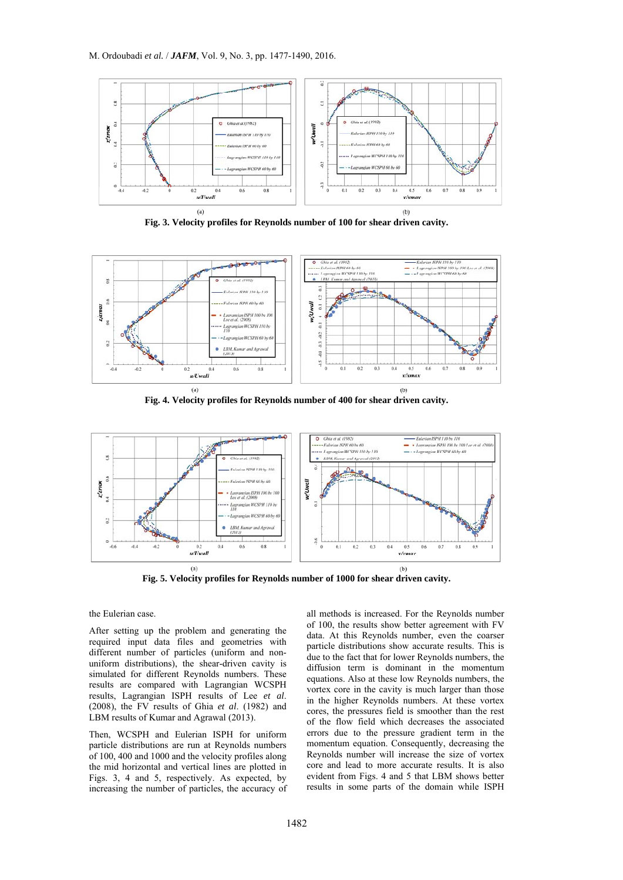

**Fig. 3. Velocity profiles for Reynolds number of 100 for shear driven cavity.** 



**Fig. 4. Velocity profiles for Reynolds number of 400 for shear driven cavity.** 



**Fig. 5. Velocity profiles for Reynolds number of 1000 for shear driven cavity.** 

the Eulerian case.

After setting up the problem and generating the required input data files and geometries with different number of particles (uniform and nonuniform distributions), the shear-driven cavity is simulated for different Reynolds numbers. These results are compared with Lagrangian WCSPH results, Lagrangian ISPH results of Lee *et al*. (2008), the FV results of Ghia *et al*. (1982) and LBM results of Kumar and Agrawal (2013).

Then, WCSPH and Eulerian ISPH for uniform particle distributions are run at Reynolds numbers of 100, 400 and 1000 and the velocity profiles along the mid horizontal and vertical lines are plotted in Figs. 3, 4 and 5, respectively. As expected, by increasing the number of particles, the accuracy of

all methods is increased. For the Reynolds number of 100, the results show better agreement with FV data. At this Reynolds number, even the coarser particle distributions show accurate results. This is due to the fact that for lower Reynolds numbers, the diffusion term is dominant in the momentum equations. Also at these low Reynolds numbers, the vortex core in the cavity is much larger than those in the higher Reynolds numbers. At these vortex cores, the pressures field is smoother than the rest of the flow field which decreases the associated errors due to the pressure gradient term in the momentum equation. Consequently, decreasing the Reynolds number will increase the size of vortex core and lead to more accurate results. It is also evident from Figs. 4 and 5 that LBM shows better results in some parts of the domain while ISPH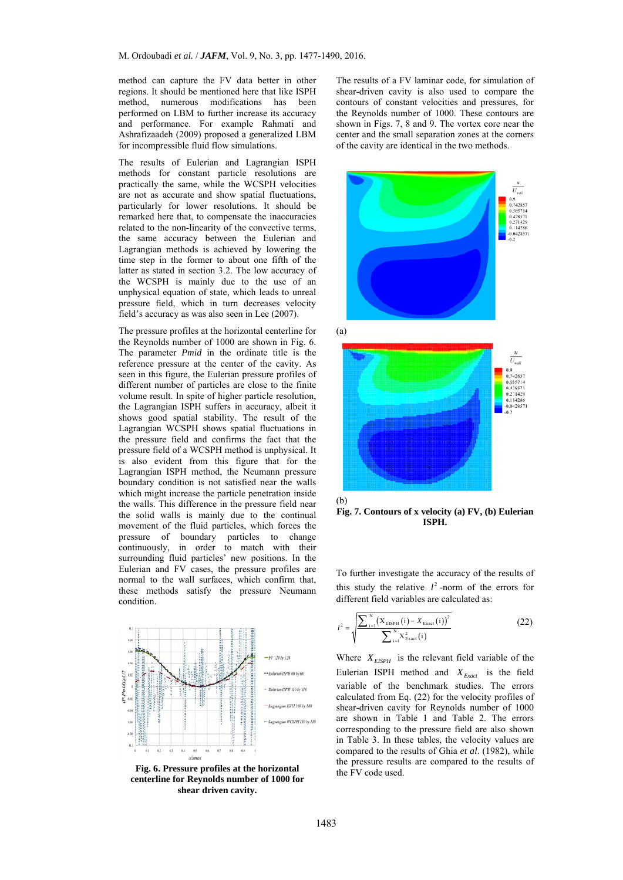method can capture the FV data better in other regions. It should be mentioned here that like ISPH method, numerous modifications has been performed on LBM to further increase its accuracy and performance. For example Rahmati and Ashrafizaadeh (2009) proposed a generalized LBM for incompressible fluid flow simulations.

The results of Eulerian and Lagrangian ISPH methods for constant particle resolutions are practically the same, while the WCSPH velocities are not as accurate and show spatial fluctuations, particularly for lower resolutions. It should be remarked here that, to compensate the inaccuracies related to the non-linearity of the convective terms, the same accuracy between the Eulerian and Lagrangian methods is achieved by lowering the time step in the former to about one fifth of the latter as stated in section 3.2. The low accuracy of the WCSPH is mainly due to the use of an unphysical equation of state, which leads to unreal pressure field, which in turn decreases velocity field's accuracy as was also seen in Lee (2007).

The pressure profiles at the horizontal centerline for the Reynolds number of 1000 are shown in Fig. 6. The parameter *Pmid* in the ordinate title is the reference pressure at the center of the cavity. As seen in this figure, the Eulerian pressure profiles of different number of particles are close to the finite volume result. In spite of higher particle resolution, the Lagrangian ISPH suffers in accuracy, albeit it shows good spatial stability. The result of the Lagrangian WCSPH shows spatial fluctuations in the pressure field and confirms the fact that the pressure field of a WCSPH method is unphysical. It is also evident from this figure that for the Lagrangian ISPH method, the Neumann pressure boundary condition is not satisfied near the walls which might increase the particle penetration inside the walls. This difference in the pressure field near the solid walls is mainly due to the continual movement of the fluid particles, which forces the pressure of boundary particles to change continuously, in order to match with their surrounding fluid particles' new positions. In the Eulerian and FV cases, the pressure profiles are normal to the wall surfaces, which confirm that, these methods satisfy the pressure Neumann condition.



**Fig. 6. Pressure profiles at the horizontal centerline for Reynolds number of 1000 for shear driven cavity.** 

The results of a FV laminar code, for simulation of shear-driven cavity is also used to compare the contours of constant velocities and pressures, for the Reynolds number of 1000. These contours are shown in Figs. 7, 8 and 9. The vortex core near the center and the small separation zones at the corners of the cavity are identical in the two methods.



(a)



**Fig. 7. Contours of x velocity (a) FV, (b) Eulerian ISPH.** 

To further investigate the accuracy of the results of this study the relative  $l^2$ -norm of the errors for different field variables are calculated as:

$$
t^{2} = \sqrt{\frac{\sum_{i=1}^{N} (X_{\text{EISPI}}(i) - X_{\text{Exact}}(i))^{2}}{\sum_{i=1}^{N} X_{\text{Exact}}^{2}(i)}}
$$
(22)

Where  $X_{FISPH}$  is the relevant field variable of the Eulerian ISPH method and  $X_{Exact}$  is the field variable of the benchmark studies. The errors calculated from Eq. (22) for the velocity profiles of shear-driven cavity for Reynolds number of 1000 are shown in Table 1 and Table 2. The errors corresponding to the pressure field are also shown in Table 3. In these tables, the velocity values are compared to the results of Ghia *et al*. (1982), while the pressure results are compared to the results of the FV code used.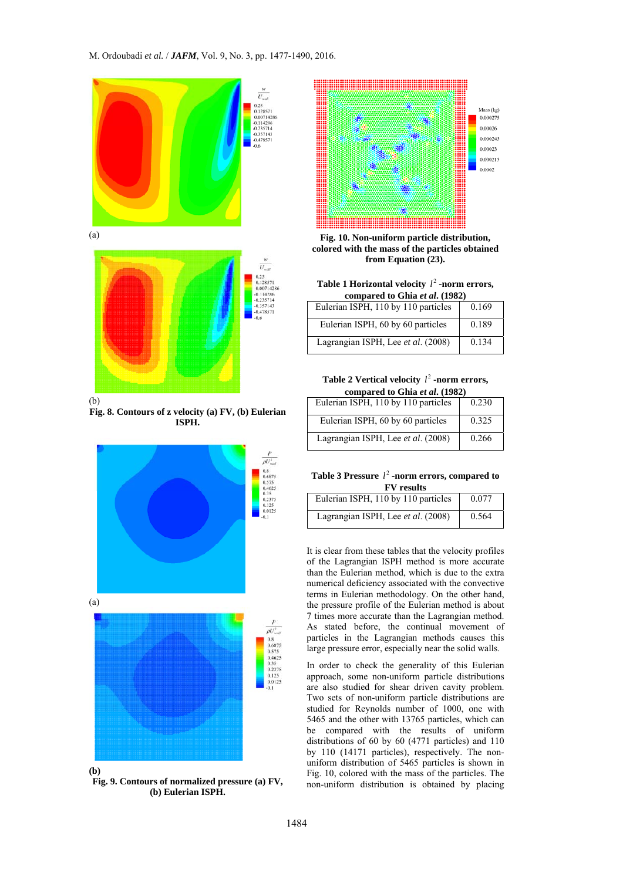

 $(h)$ 

**Fig. 8. Contours of z velocity (a) FV, (b) Eulerian ISPH.** 



**Fig. 9. Contours of normalized pressure (a) FV, (b) Eulerian ISPH.** 



**Fig. 10. Non-uniform particle distribution, colored with the mass of the particles obtained from Equation (23).** 

Table 1 Horizontal velocity  $l^2$  -norm errors, **compared to Ghia** *et al***. (1982)** 

| Eulerian ISPH, 110 by 110 particles | 0.169 |
|-------------------------------------|-------|
| Eulerian ISPH, 60 by 60 particles   | 0.189 |
| Lagrangian ISPH, Lee et al. (2008)  | 0.134 |

Table 2 Vertical velocity  $l^2$  -norm errors, **compared to Ghia** *et al***. (1982)** 

| Eulerian ISPH, 110 by 110 particles | 0.230 |
|-------------------------------------|-------|
| Eulerian ISPH, 60 by 60 particles   | 0.325 |
| Lagrangian ISPH, Lee et al. (2008)  | 0.266 |

Table 3 Pressure  $l^2$  -norm errors, compared to **FV results** 

| Eulerian ISPH, 110 by 110 particles | 0.077 |
|-------------------------------------|-------|
| Lagrangian ISPH, Lee et al. (2008)  | 0.564 |

It is clear from these tables that the velocity profiles of the Lagrangian ISPH method is more accurate than the Eulerian method, which is due to the extra numerical deficiency associated with the convective terms in Eulerian methodology. On the other hand, the pressure profile of the Eulerian method is about 7 times more accurate than the Lagrangian method. As stated before, the continual movement of particles in the Lagrangian methods causes this large pressure error, especially near the solid walls.

In order to check the generality of this Eulerian approach, some non-uniform particle distributions are also studied for shear driven cavity problem. Two sets of non-uniform particle distributions are studied for Reynolds number of 1000, one with 5465 and the other with 13765 particles, which can be compared with the results of uniform distributions of 60 by 60 (4771 particles) and 110 by 110 (14171 particles), respectively. The nonuniform distribution of 5465 particles is shown in Fig. 10, colored with the mass of the particles. The non-uniform distribution is obtained by placing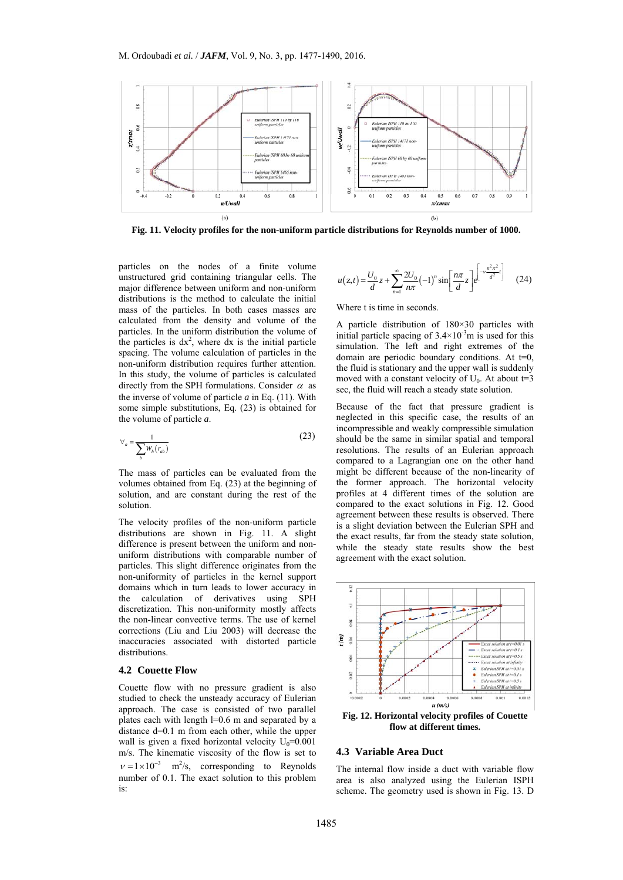

**Fig. 11. Velocity profiles for the non-uniform particle distributions for Reynolds number of 1000.** 

particles on the nodes of a finite volume unstructured grid containing triangular cells. The major difference between uniform and non-uniform distributions is the method to calculate the initial mass of the particles. In both cases masses are calculated from the density and volume of the particles. In the uniform distribution the volume of the particles is  $dx^2$ , where dx is the initial particle spacing. The volume calculation of particles in the non-uniform distribution requires further attention. In this study, the volume of particles is calculated directly from the SPH formulations. Consider  $\alpha$  as the inverse of volume of particle *a* in Eq. (11). With some simple substitutions, Eq. (23) is obtained for the volume of particle *a*.

$$
\forall_a = \frac{1}{\sum_b W_h(r_{ab})}
$$
 (23)

The mass of particles can be evaluated from the volumes obtained from Eq. (23) at the beginning of solution, and are constant during the rest of the solution.

The velocity profiles of the non-uniform particle distributions are shown in Fig. 11. A slight difference is present between the uniform and nonuniform distributions with comparable number of particles. This slight difference originates from the non-uniformity of particles in the kernel support domains which in turn leads to lower accuracy in the calculation of derivatives using SPH discretization. This non-uniformity mostly affects the non-linear convective terms. The use of kernel corrections (Liu and Liu 2003) will decrease the inaccuracies associated with distorted particle distributions.

#### **4.2 Couette Flow**

Couette flow with no pressure gradient is also studied to check the unsteady accuracy of Eulerian approach. The case is consisted of two parallel plates each with length l=0.6 m and separated by a distance d=0.1 m from each other, while the upper wall is given a fixed horizontal velocity  $U_0=0.001$ m/s. The kinematic viscosity of the flow is set to  $v = 1 \times 10^{-3}$  m<sup>2</sup>/s, corresponding to Reynolds number of 0.1. The exact solution to this problem is:

$$
u(z,t) = \frac{U_0}{d}z + \sum_{n=1}^{\infty} \frac{2U_0}{n\pi} (-1)^n \sin\left[\frac{n\pi}{d}z\right] e^{\left[-\frac{v^2\pi^2}{d^2}t\right]}
$$
 (24)

Where t is time in seconds.

A particle distribution of 180×30 particles with initial particle spacing of  $3.4 \times 10^{-3}$ m is used for this simulation. The left and right extremes of the domain are periodic boundary conditions. At t=0, the fluid is stationary and the upper wall is suddenly moved with a constant velocity of  $U_0$ . At about t=3 sec, the fluid will reach a steady state solution.

Because of the fact that pressure gradient is neglected in this specific case, the results of an incompressible and weakly compressible simulation should be the same in similar spatial and temporal resolutions. The results of an Eulerian approach compared to a Lagrangian one on the other hand might be different because of the non-linearity of the former approach. The horizontal velocity profiles at 4 different times of the solution are compared to the exact solutions in Fig. 12. Good agreement between these results is observed. There is a slight deviation between the Eulerian SPH and the exact results, far from the steady state solution, while the steady state results show the best agreement with the exact solution.



**flow at different times.** 

## **4.3 Variable Area Duct**

The internal flow inside a duct with variable flow area is also analyzed using the Eulerian ISPH scheme. The geometry used is shown in Fig. 13. D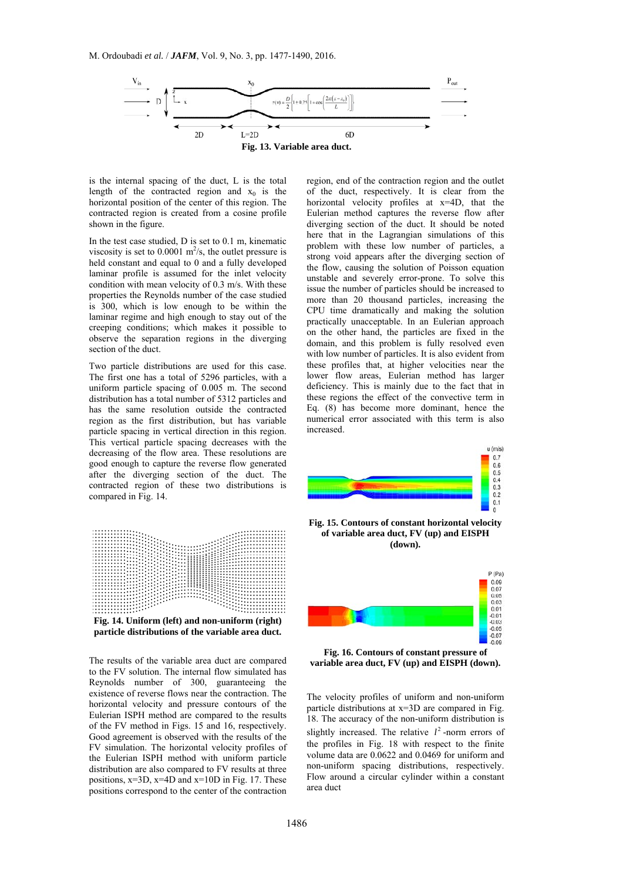

is the internal spacing of the duct, L is the total length of the contracted region and  $x_0$  is the horizontal position of the center of this region. The contracted region is created from a cosine profile shown in the figure.

In the test case studied, D is set to 0.1 m, kinematic viscosity is set to  $0.0001 \text{ m}^2/\text{s}$ , the outlet pressure is held constant and equal to 0 and a fully developed laminar profile is assumed for the inlet velocity condition with mean velocity of 0.3 m/s. With these properties the Reynolds number of the case studied is 300, which is low enough to be within the laminar regime and high enough to stay out of the creeping conditions; which makes it possible to observe the separation regions in the diverging section of the duct.

Two particle distributions are used for this case. The first one has a total of 5296 particles, with a uniform particle spacing of 0.005 m. The second distribution has a total number of 5312 particles and has the same resolution outside the contracted region as the first distribution, but has variable particle spacing in vertical direction in this region. This vertical particle spacing decreases with the decreasing of the flow area. These resolutions are good enough to capture the reverse flow generated after the diverging section of the duct. The contracted region of these two distributions is compared in Fig. 14.





The results of the variable area duct are compared to the FV solution. The internal flow simulated has Reynolds number of 300, guaranteeing the existence of reverse flows near the contraction. The horizontal velocity and pressure contours of the Eulerian ISPH method are compared to the results of the FV method in Figs. 15 and 16, respectively. Good agreement is observed with the results of the FV simulation. The horizontal velocity profiles of the Eulerian ISPH method with uniform particle distribution are also compared to FV results at three positions,  $x=3D$ ,  $x=4D$  and  $x=10D$  in Fig. 17. These positions correspond to the center of the contraction

region, end of the contraction region and the outlet of the duct, respectively. It is clear from the horizontal velocity profiles at  $x=4D$ , that the Eulerian method captures the reverse flow after diverging section of the duct. It should be noted here that in the Lagrangian simulations of this problem with these low number of particles, a strong void appears after the diverging section of the flow, causing the solution of Poisson equation unstable and severely error-prone. To solve this issue the number of particles should be increased to more than 20 thousand particles, increasing the CPU time dramatically and making the solution practically unacceptable. In an Eulerian approach on the other hand, the particles are fixed in the domain, and this problem is fully resolved even with low number of particles. It is also evident from these profiles that, at higher velocities near the lower flow areas. Eulerian method has larger deficiency. This is mainly due to the fact that in these regions the effect of the convective term in Eq. (8) has become more dominant, hence the numerical error associated with this term is also increased.



**Fig. 15. Contours of constant horizontal velocity of variable area duct, FV (up) and EISPH (down).** 



**Fig. 16. Contours of constant pressure of variable area duct, FV (up) and EISPH (down).** 

The velocity profiles of uniform and non-uniform particle distributions at  $x=3D$  are compared in Fig. 18. The accuracy of the non-uniform distribution is slightly increased. The relative  $l^2$ -norm errors of the profiles in Fig. 18 with respect to the finite volume data are 0.0622 and 0.0469 for uniform and non-uniform spacing distributions, respectively. Flow around a circular cylinder within a constant area duct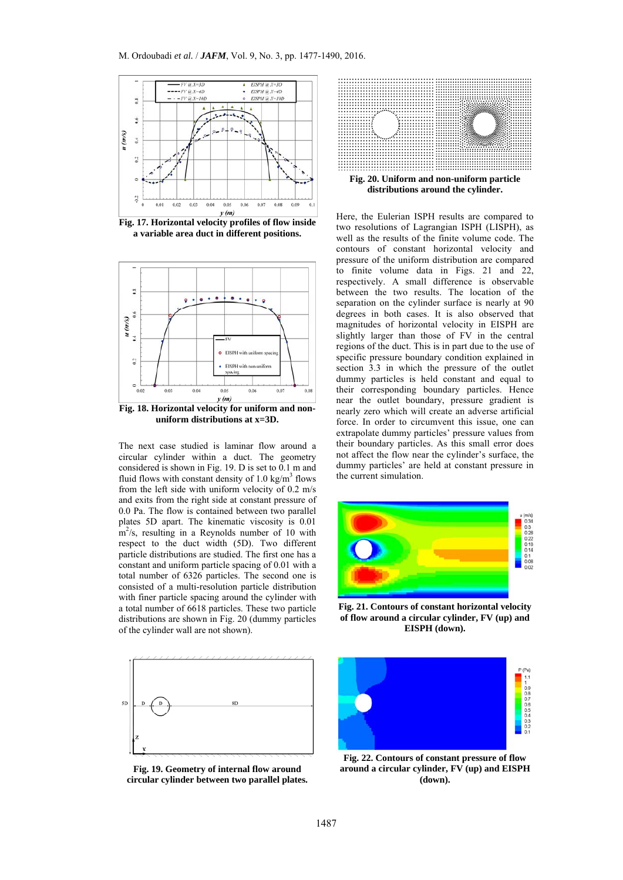

**Fig. 17. Horizontal velocity profiles of flow inside a variable area duct in different positions.** 



**Fig. 18. Horizontal velocity for uniform and nonuniform distributions at x=3D.** 

The next case studied is laminar flow around a circular cylinder within a duct. The geometry considered is shown in Fig. 19. D is set to 0.1 m and fluid flows with constant density of  $1.0 \text{ kg/m}^3$  flows from the left side with uniform velocity of 0.2 m/s and exits from the right side at constant pressure of 0.0 Pa. The flow is contained between two parallel plates 5D apart. The kinematic viscosity is 0.01  $\rm \dot{m}^2$ /s, resulting in a Reynolds number of 10 with respect to the duct width (5D). Two different particle distributions are studied. The first one has a constant and uniform particle spacing of 0.01 with a total number of 6326 particles. The second one is consisted of a multi-resolution particle distribution with finer particle spacing around the cylinder with a total number of 6618 particles. These two particle distributions are shown in Fig. 20 (dummy particles of the cylinder wall are not shown).



**Fig. 19. Geometry of internal flow around circular cylinder between two parallel plates.** 



**distributions around the cylinder.** 

Here, the Eulerian ISPH results are compared to two resolutions of Lagrangian ISPH (LISPH), as well as the results of the finite volume code. The contours of constant horizontal velocity and pressure of the uniform distribution are compared to finite volume data in Figs. 21 and 22, respectively. A small difference is observable between the two results. The location of the separation on the cylinder surface is nearly at 90 degrees in both cases. It is also observed that magnitudes of horizontal velocity in EISPH are slightly larger than those of FV in the central regions of the duct. This is in part due to the use of specific pressure boundary condition explained in section 3.3 in which the pressure of the outlet dummy particles is held constant and equal to their corresponding boundary particles. Hence near the outlet boundary, pressure gradient is nearly zero which will create an adverse artificial force. In order to circumvent this issue, one can extrapolate dummy particles' pressure values from their boundary particles. As this small error does not affect the flow near the cylinder's surface, the dummy particles' are held at constant pressure in the current simulation.



**Fig. 21. Contours of constant horizontal velocity of flow around a circular cylinder, FV (up) and EISPH (down).** 



**Fig. 22. Contours of constant pressure of flow around a circular cylinder, FV (up) and EISPH (down).**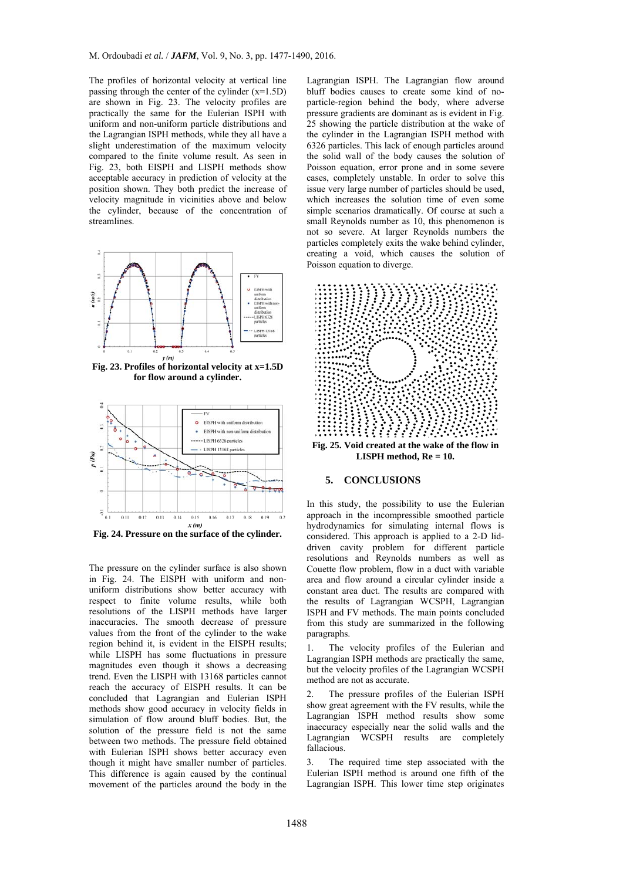The profiles of horizontal velocity at vertical line passing through the center of the cylinder (x=1.5D) are shown in Fig. 23. The velocity profiles are practically the same for the Eulerian ISPH with uniform and non-uniform particle distributions and the Lagrangian ISPH methods, while they all have a slight underestimation of the maximum velocity compared to the finite volume result. As seen in Fig. 23, both EISPH and LISPH methods show acceptable accuracy in prediction of velocity at the position shown. They both predict the increase of velocity magnitude in vicinities above and below the cylinder, because of the concentration of streamlines.



**Fig. 23. Profiles of horizontal velocity at x=1.5D for flow around a cylinder.** 



**Fig. 24. Pressure on the surface of the cylinder.** 

The pressure on the cylinder surface is also shown in Fig. 24. The EISPH with uniform and nonuniform distributions show better accuracy with respect to finite volume results, while both resolutions of the LISPH methods have larger inaccuracies. The smooth decrease of pressure values from the front of the cylinder to the wake region behind it, is evident in the EISPH results; while LISPH has some fluctuations in pressure magnitudes even though it shows a decreasing trend. Even the LISPH with 13168 particles cannot reach the accuracy of EISPH results. It can be concluded that Lagrangian and Eulerian ISPH methods show good accuracy in velocity fields in simulation of flow around bluff bodies. But, the solution of the pressure field is not the same between two methods. The pressure field obtained with Eulerian ISPH shows better accuracy even though it might have smaller number of particles. This difference is again caused by the continual movement of the particles around the body in the

Lagrangian ISPH. The Lagrangian flow around bluff bodies causes to create some kind of noparticle-region behind the body, where adverse pressure gradients are dominant as is evident in Fig. 25 showing the particle distribution at the wake of the cylinder in the Lagrangian ISPH method with 6326 particles. This lack of enough particles around the solid wall of the body causes the solution of Poisson equation, error prone and in some severe cases, completely unstable. In order to solve this issue very large number of particles should be used, which increases the solution time of even some simple scenarios dramatically. Of course at such a small Reynolds number as 10, this phenomenon is not so severe. At larger Reynolds numbers the particles completely exits the wake behind cylinder, creating a void, which causes the solution of Poisson equation to diverge.



**LISPH method, Re = 10.** 

### **5. CONCLUSIONS**

In this study, the possibility to use the Eulerian approach in the incompressible smoothed particle hydrodynamics for simulating internal flows is considered. This approach is applied to a 2-D liddriven cavity problem for different particle resolutions and Reynolds numbers as well as Couette flow problem, flow in a duct with variable area and flow around a circular cylinder inside a constant area duct. The results are compared with the results of Lagrangian WCSPH, Lagrangian ISPH and FV methods. The main points concluded from this study are summarized in the following paragraphs.

1. The velocity profiles of the Eulerian and Lagrangian ISPH methods are practically the same, but the velocity profiles of the Lagrangian WCSPH method are not as accurate.

2. The pressure profiles of the Eulerian ISPH show great agreement with the FV results, while the Lagrangian ISPH method results show some inaccuracy especially near the solid walls and the Lagrangian WCSPH results are completely fallacious.

3. The required time step associated with the Eulerian ISPH method is around one fifth of the Lagrangian ISPH. This lower time step originates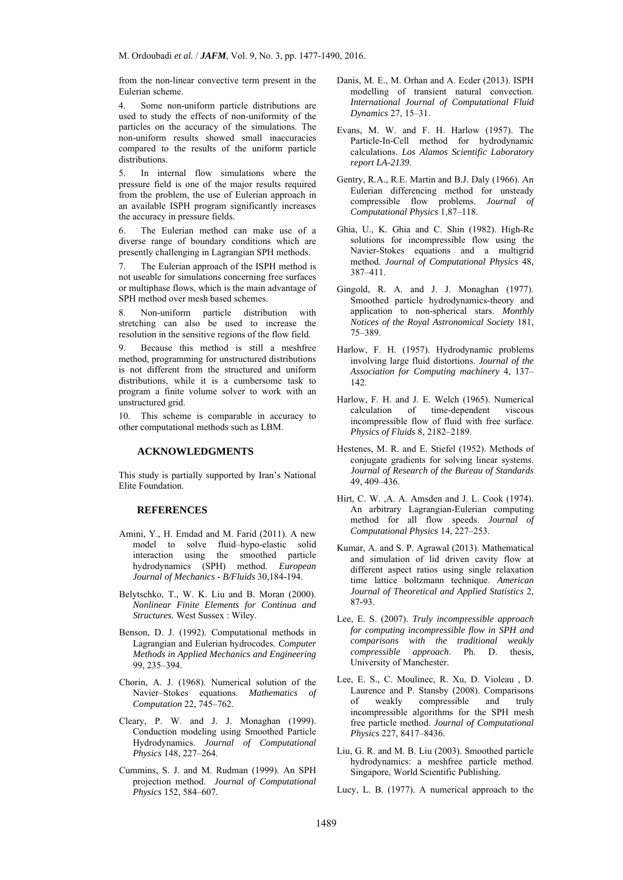from the non-linear convective term present in the Eulerian scheme.

4. Some non-uniform particle distributions are used to study the effects of non-uniformity of the particles on the accuracy of the simulations. The non-uniform results showed small inaccuracies compared to the results of the uniform particle distributions.

5. In internal flow simulations where the pressure field is one of the major results required from the problem, the use of Eulerian approach in an available ISPH program significantly increases the accuracy in pressure fields.

6. The Eulerian method can make use of a diverse range of boundary conditions which are presently challenging in Lagrangian SPH methods.

7. The Eulerian approach of the ISPH method is not useable for simulations concerning free surfaces or multiphase flows, which is the main advantage of SPH method over mesh based schemes.

8. Non-uniform particle distribution with stretching can also be used to increase the resolution in the sensitive regions of the flow field.

9. Because this method is still a meshfree method, programming for unstructured distributions is not different from the structured and uniform distributions, while it is a cumbersome task to program a finite volume solver to work with an unstructured grid.

10. This scheme is comparable in accuracy to other computational methods such as LBM.

## **ACKNOWLEDGMENTS**

This study is partially supported by Iran's National Elite Foundation.

#### **REFERENCES**

- Amini, Y., H. Emdad and M. Farid (2011). A new model to solve fluid–hypo-elastic solid interaction using the smoothed particle hydrodynamics (SPH) method. *European Journal of Mechanics - B/Fluids* 30,184-194.
- Belytschko, T., W. K. Liu and B. Moran (2000). *Nonlinear Finite Elements for Continua and Structures.* West Sussex : Wiley.
- Benson, D. J. (1992). Computational methods in Lagrangian and Eulerian hydrocodes. *Computer Methods in Applied Mechanics and Engineering*  99, 235–394.
- Chorin, A. J. (1968). Numerical solution of the Navier–Stokes equations. *Mathematics of Computation* 22, 745–762.
- Cleary, P. W. and J. J. Monaghan (1999). Conduction modeling using Smoothed Particle Hydrodynamics. *Journal of Computational Physics* 148, 227–264.
- Cummins, S. J. and M. Rudman (1999). An SPH projection method. *Journal of Computational Physics* 152, 584–607.
- Danis, M. E., M. Orhan and A. Ecder (2013). ISPH modelling of transient natural convection. *International Journal of Computational Fluid Dynamics* 27, 15–31.
- Evans, M. W. and F. H. Harlow (1957). The Particle-In-Cell method for hydrodynamic calculations. *Los Alamos Scientific Laboratory report LA-2139*.
- Gentry, R.A., R.E. Martin and B.J. Daly (1966). An Eulerian differencing method for unsteady compressible flow problems. *Journal of Computational Physics* 1,87–118.
- Ghia, U., K. Ghia and C. Shin (1982). High-Re solutions for incompressible flow using the Navier-Stokes equations and a multigrid method. *Journal of Computational Physics* 48, 387–411.
- Gingold, R. A. and J. J. Monaghan (1977). Smoothed particle hydrodynamics-theory and application to non-spherical stars. *Monthly Notices of the Royal Astronomical Society* 181, 75–389.
- Harlow, F. H. (1957). Hydrodynamic problems involving large fluid distortions. *Journal of the Association for Computing machinery* 4, 137– 142.
- Harlow, F. H. and J. E. Welch (1965). Numerical calculation of time-dependent viscous incompressible flow of fluid with free surface. *Physics of Fluids* 8, 2182–2189.
- Hestenes, M. R. and E. Stiefel (1952). Methods of conjugate gradients for solving linear systems. *Journal of Research of the Bureau of Standards*  49, 409–436.
- Hirt, C. W. ,A. A. Amsden and J. L. Cook (1974). An arbitrary Lagrangian-Eulerian computing method for all flow speeds. *Journal of Computational Physics* 14, 227–253.
- Kumar, A. and S. P. Agrawal (2013). Mathematical and simulation of lid driven cavity flow at different aspect ratios using single relaxation time lattice boltzmann technique. *American Journal of Theoretical and Applied Statistics* 2, 87-93.
- Lee, E. S. (2007). *Truly incompressible approach for computing incompressible flow in SPH and comparisons with the traditional weakly compressible approach*. Ph. D. thesis*,*  University of Manchester.
- Lee, E. S., C. Moulinec, R. Xu, D. Violeau , D. Laurence and P. Stansby (2008). Comparisons of weakly compressible and truly incompressible algorithms for the SPH mesh free particle method. *Journal of Computational Physics* 227, 8417–8436.
- Liu, G. R. and M. B. Liu (2003). Smoothed particle hydrodynamics: a meshfree particle method. Singapore, World Scientific Publishing.
- Lucy, L. B. (1977). A numerical approach to the